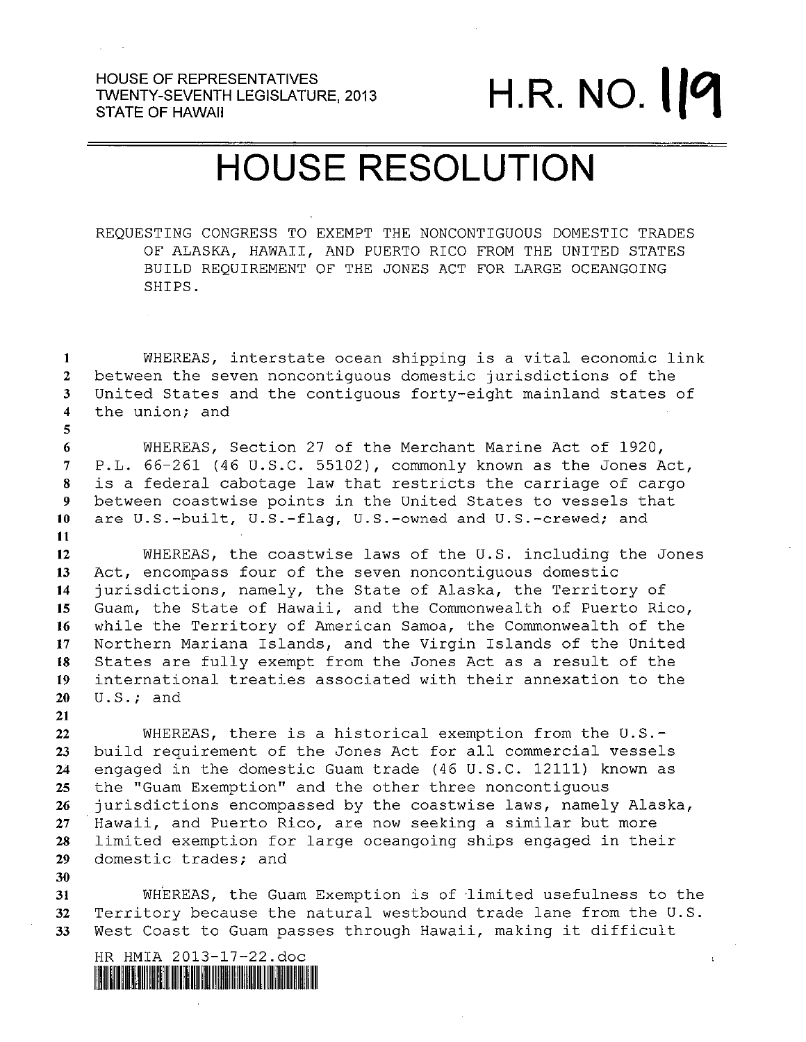### HOUSE OF REPRESENTATIVES TWENTY-SEVENTH LEGISLATURE, 2013 HOUSE OF REPRESENTATIVES<br>TWENTY-SEVENTH LEGISLATURE, 2013 H.R. NO. 10.

### HOUSE RESOLUTION

REQUESTING CONGRESS TO EXEMPT THE NONCONTIGUOUS DOMESTIC TRADES OF ALASKA, HAWAII, AND PUERTO RICO FROM THE UNITED STATES BUILD REQUIREMENT OF THE JONES ACT FOR LARGE OCEANGOING SHIPS.

<sup>I</sup> WHEREAS, interstate ocean shipping is <sup>a</sup> vital economic link between the seven noncontiguous domestic jurisdictions of the United States and the contiguous forty—eight mainland states of the union; and

 WHEREAS, Section 27 of the Merchant Marine Act of 1920, P.L. 66—261 (46 U.S.C. 55102), commonly known as the Jones Act, is <sup>a</sup> federal cabotage law that restricts the carriage of cargo between coastwise points in the United States to vessels that are U.S.—built, U.S.—flag, U.S.—owned and U.S.—crewed; and 11

 WHEREAS, the coastwise laws of the U.S. including the Jones Act, encompass four of the seven noncontiguous domestic jurisdictions, namely, the State of Alaska, the Territory of Guam, the State of Hawaii, and the Commonwealth of Puerto Rico, while the Territory of American Samoa, the Commonwealth of the Northern Mariana Islands, and the Virgin Islands of the United States are fully exempt from the Jones Act as <sup>a</sup> result of the international treaties associated with their annexation to the U.S.; and

 WHEREAS, there is <sup>a</sup> historical exemption from the U.S.— build requirement of the Jones Act for all commercial vessels engaged in the domestic Guam trade (46 U.S.C. 12111) known as the "Guam Exemption" and the other three noncontiguous jurisdictions encompassed by the coastwise laws, namely Alaska, Hawaii, and Puerto Rico, are now seeking <sup>a</sup> similar but more limited exemption for large oceangoing ships engaged in their domestic trades; and

30

21

5

<sup>31</sup> WHEREAS, the Guam Exemption is of limited usefulness to the <sup>32</sup> Territory because the natural westbound trade lane from the U.S. <sup>33</sup> West Coast to Guam passes through Hawaii, making it difficult

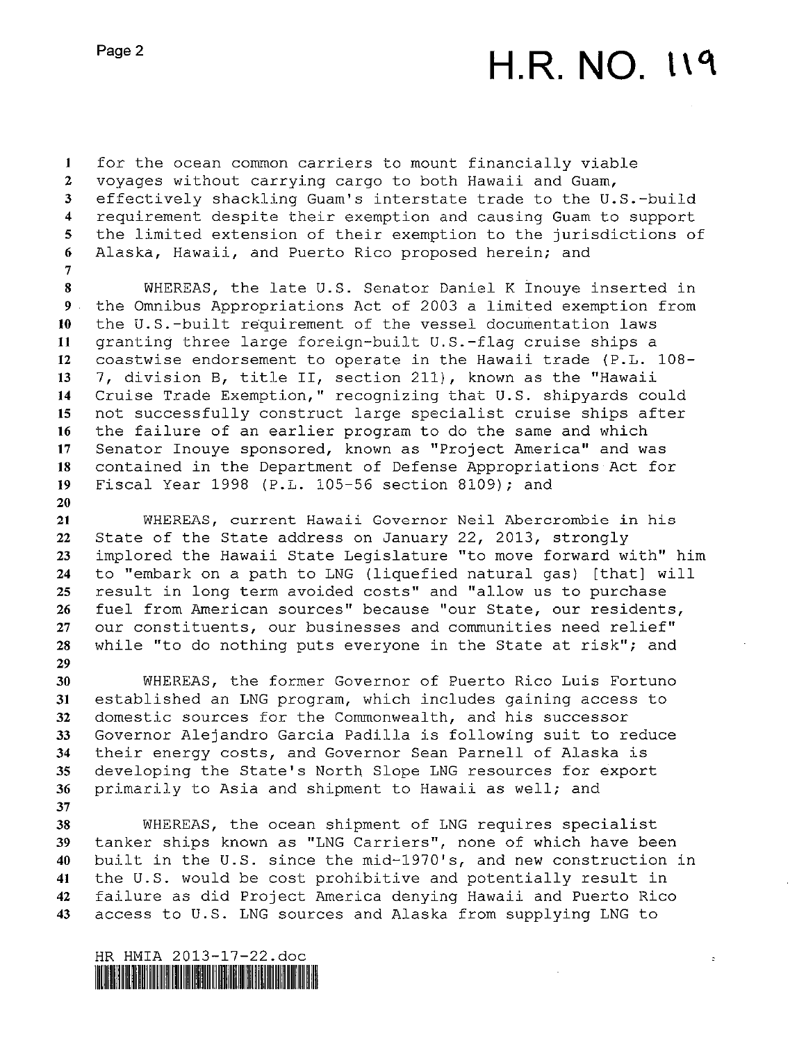# **H.R. NO. 119**

 $\overline{z}$ 

I for the ocean common carriers to mount financially viable voyages without carrying cargo to both Hawaii and Guam, effectively shackling Guam's interstate trade to the U.S.—build requirement despite their exemption and causing Guam to support the limited extension of their exemption to the jurisdictions of Alaska, Hawaii, and Puerto Rico proposed herein; and 7

 WHEREAS, the late U.S. Senator Daniel K Inouye inserted in the Omnibus Appropriations Act of <sup>2003</sup> <sup>a</sup> limited exemption from 10 the U.S.-built requirement of the vessel documentation laws 11 granting three large foreign-built U.S.-flag cruise ships a coastwise endorsement to operate in the Hawaii trade (P.L. 108— 7, division B, title II, section 211), known as the "Hawaii Cruise Trade Exemption," recognizing that U.S. shipyards could not successfully construct large specialist cruise ships after the failure of an earlier program to do the same and which Senator Inouye sponsored, known as "Project America" and was contained in the Department of Defense Appropriations Act for Fiscal Year 1998 (P.L. 105—56 section 8109); and

 WHEREAS, current Hawaii Governor Neil Abercrombie in his State of the State address on January 22, 2013, strongly implored the Hawaii State Legislature "to move forward with" him to "embark on <sup>a</sup> path to LNG (liquefied natural gas) [that] will result in long term avoided costs" and "allow us to purchase fuel from American sources" because "our State, our residents, our constituents, our businesses and comunities need relief" while "to do nothing puts everyone in the State at risk"; and 

 WHEREAS, the former Governor of Puerto Rico Luis Fortuno established an LNG program, which includes gaining access to domestic sources for the Commonwealth, and his successor Governor Alejandro Garcia Padilla is following suit to reduce their energy costs, and Governor Sean Parnell of Alaska is developing the State's North Slope LNG resources for export primarily to Asia and shipment to Hawaii as well; and 

 WHEREAS, the ocean shipment of LNG requires specialist tanker ships known as "LNG Carriers", none of which have been built in the U.S. since the mid—1970's, and new construction in the U.S. would be cost prohibitive and potentially result in failure as did Project America denying Hawaii and Puerto Rico access to U.S. LNG sources and Alaska from supplying LNG to

HR HMIA 2013—17—22.doc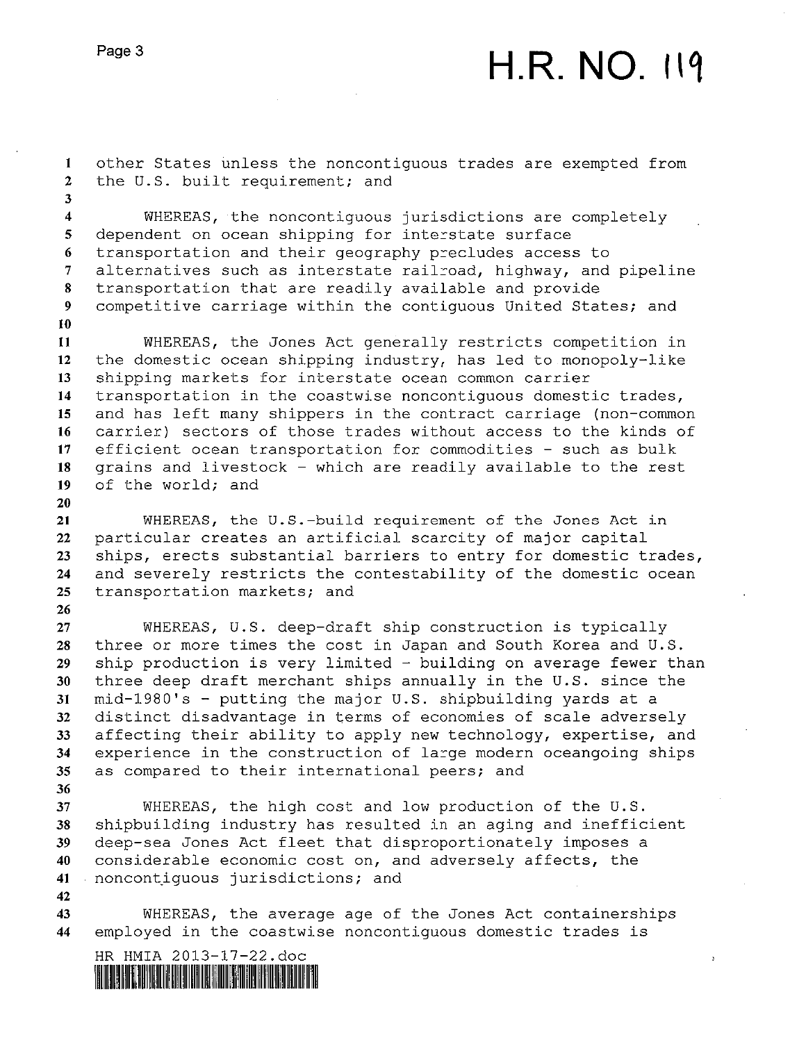## H.R. NO. (i9

<sup>I</sup> other States unless the noncontiguous trades are exempted from 2 the U.S. built requirement; and 3

 WHEREAS, the noncontiguous jurisdictions are completely dependent on ocean shipping for interstate surface transportation and their geography precludes access to alternatives such as interstate railroad, highway, and pipeline transportation that are readily available and provide 9 competitive carriage within the contiguous United States; and 

 WHEREAS, the Jones Act generally restricts competition in the domestic ocean shipping industry, has led to monopoly—like shipping markets for interstate ocean common carrier transportation in the coastwise noncontiguous domestic trades, and has left many shippers in the contract carriage (non—common carrier) sectors of those trades without access to the kinds of efficient ocean transportation for commodities — such as bulk grains and livestock — which are readily available to the rest of the world; and

 WHEREAS, the U.S.-build requirement of the Jones Act in particular creates an artificial scarcity of major capital ships, erects substantial barriers to entry for domestic trades, and severely restricts the contestability of the domestic ocean transportation markets; and

 WHEREAS, U.S. deep—draft ship construction is typically three or more times the cost in Japan and South Korea and U.S. ship production is very limited — building on average fewer than three deep draft merchant ships annually in the U.S. since the mid—l980's — putting the major U.S. shipbuilding yards at <sup>a</sup> distinct disadvantage in terms of economies of scale adversely 33 affecting their ability to apply new technology, expertise, and experience in the construction of large modern oceangoing ships as compared to their international peers; and 

 WHEREAS, the high cost and low production of the U.S. shipbuilding industry has resulted in an aging and inefficient deep—sea Jones Act fleet that disproportionately imposes <sup>a</sup> considerable economic cost on, and adversely affects, the noncontiguous jurisdictions; and

 WHEREAS, the average age of the Jones Act containerships employed in the coastwise noncontiguous domestic trades is

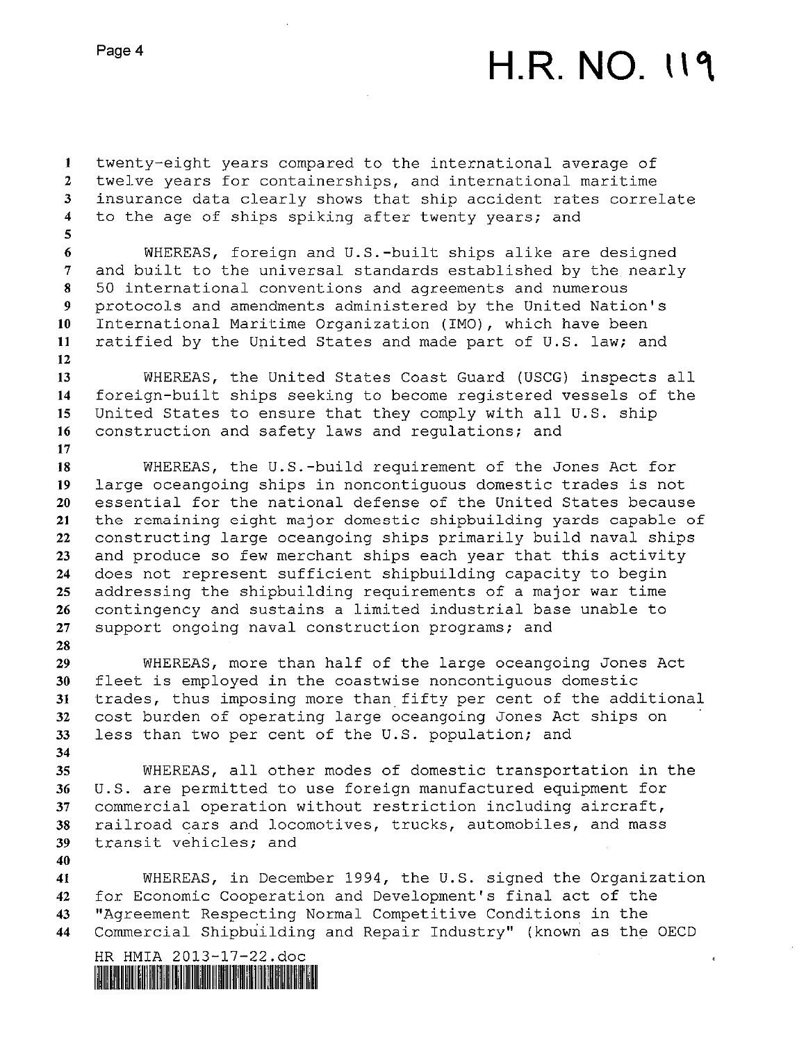# **H.R. NO. 119**

I twenty—eight years compared to the international average of twelve years for containerships, and international maritime insurance data clearly shows that ship accident rates correlate to the age of ships spiking after twenty years; and 5 WHEREAS, foreign and U.S.—built ships alike are designed and built to the universal standards established by the nearly 50 international conventions and agreements and numerous protocols and amendments administered by the United Nation's International Maritime Organization (IMO), which have been ratified by the United States and made part of U.S. law; and WHEREAS, the United States Coast Guard (USCG) inspects all foreign—built ships seeking to become registered vessels of the United States to ensure that they comply with all U.S. ship construction and safety laws and regulations; and WHEREAS, the U.S.-build requirement of the Jones Act for large oceangoing ships in noncontiguous domestic trades is not essential for the national defense of the United States because the remaining eight major domestic shipbuilding yards capable of constructing large oceangoing ships primarily build naval ships and produce so few merchant ships each year that this activity does not represent sufficient shipbuilding capacity to begin addressing the shipbuilding requirements of <sup>a</sup> major war time contingency and sustains <sup>a</sup> limited industrial base unable to support ongoing naval construction programs; and WHEREAS, more than half of the large oceangoing Jones Act fleet is employed in the coastwise noncontiguous domestic trades, thus imposing more than fifty per cent of the additional cost burden of operating large oceangoing Jones Act ships on less than two per cent of the U.S. population; and WHEREAS, all other modes of domestic transportation in the U.S. are permitted to use foreign manufactured equipment for commercial operation without restriction including aircraft, railroad cars and locomotives, trucks, automobiles, and mass transit vehicles; and WHEREAS, in December 1994, the U.S. signed the Organization for Economic Cooperation and Development's final act of the "Agreement Respecting Normal Competitive Conditions in the Commercial Shipbdilding and Repair Industry" (known as the OECD HR HMIA 20l3—17—22.doc 4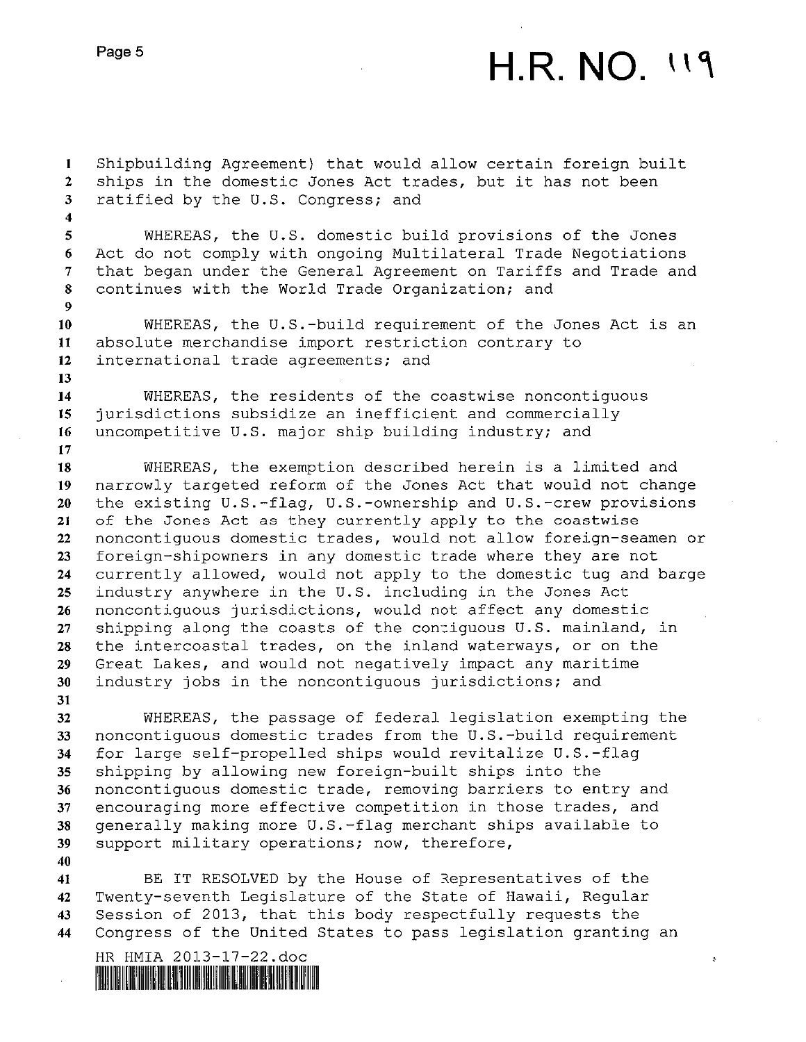# $H.R. NO.$   $119$

I Shipbuilding Agreement) that would allow certain foreign built ships in the domestic Jones Act trades, but it has not been ratified by the U.S. Congress; and 4 WHEREAS, the U.S. domestic build provisions of the Jones Act do not comply with ongoing Multilateral Trade Negotiations that began under the General Agreement on Tariffs and Trade and continues with the World Trade Organization; and 9 WHEREAS, the V.5.—build requirement of the Jones Act is an absolute merchandise import restriction contrary to international trade agreements; and WHEREAS, the residents of the coastwise noncontiguous jurisdictions subsidize an inefficient and commercially uncompetitive U.S. major ship building industry; and WHEREAS, the exemption described herein is <sup>a</sup> limited and narrowly targeted reform of the Jones Act that would not change the existing U.S.-flag, U.S.-ownership and V.5.-crew provisions of the Jones Act as they currently apply to the coastwise noncontiguous domestic trades, would not allow foreign—seamen or foreign—shipowners in any domestic trade where they are not currently allowed, would not apply to the domestic tug and barge industry anywhere in the U.S. including in the Jones Act noncontiguous jurisdictions, would not affect any domestic shipping along the coasts of the contiguous U.S. mainland, in the intercoastal trades, on the inland waterways, or on the Great Lakes, and would not negatively impact any maritime industry jobs in the noncontiguous jurisdictions; and WHEREAS, the passage of federal legislation exempting the noncontiguous domestic trades from the U.S.—build requirement for large self—propelled ships would revitalize U.S.—flag shipping by allowing new foreign-built ships into the noncontiguous domestic trade, removing barriers to entry and encouraging more effective competition in those trades, and generally making more U.S.—flag merchant ships available to support military operations; now, therefore, BE IT RESOLVED by the House of Representatives of the

 Twenty—seventh Legislature of the State of Hawaii, Regular Session of 2013, that this body respectfully requests the Congress of the United States to pass legislation granting an